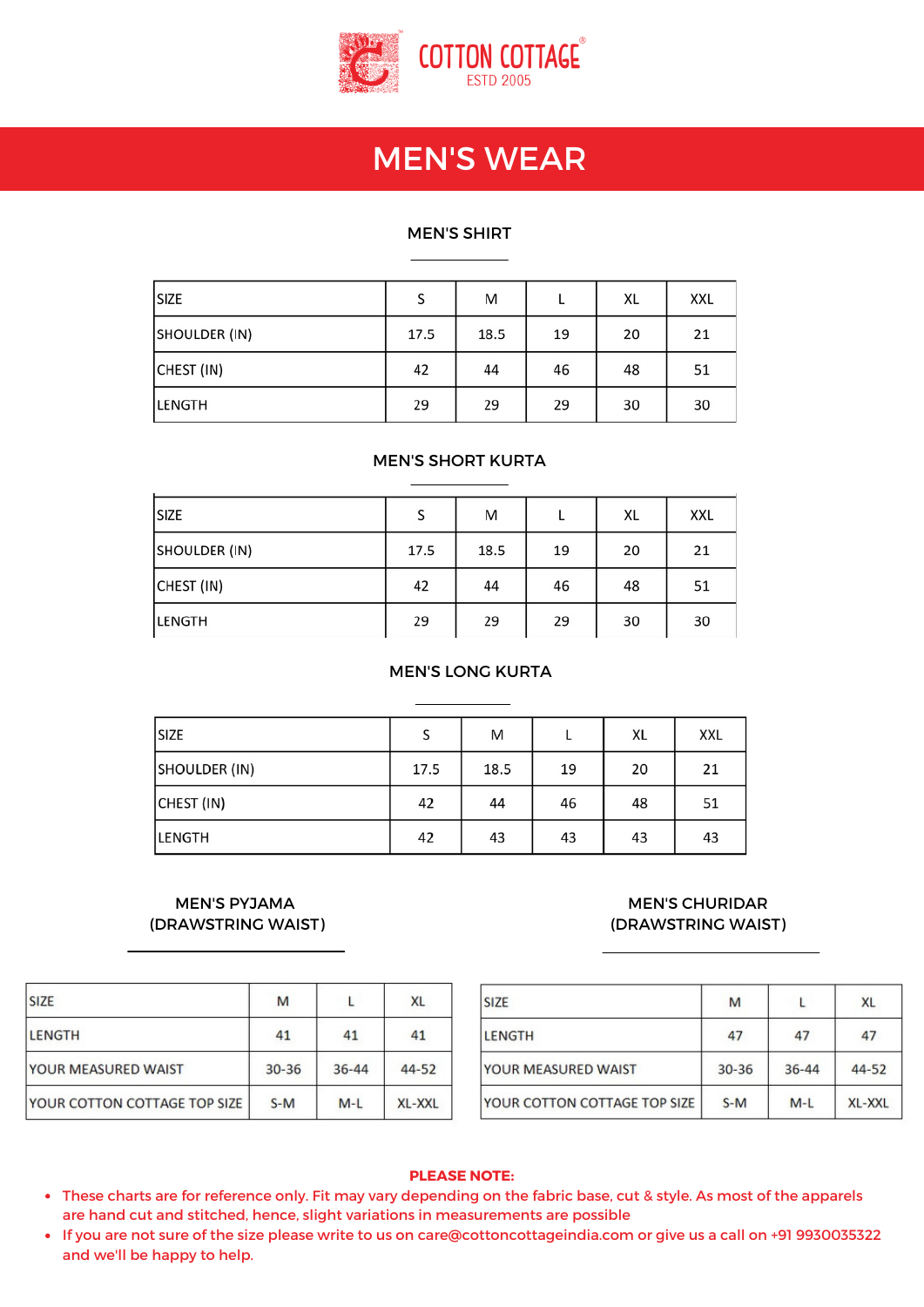

# MEN'S WEAR CHARTS

#### MEN'S SHIRT

| SIZE          | S    | M    |    | XL | XXL |
|---------------|------|------|----|----|-----|
| SHOULDER (IN) | 17.5 | 18.5 | 19 | 20 | 21  |
| CHEST (IN)    | 42   | 44   | 46 | 48 | 51  |
| LENGTH        | 29   | 29   | 29 | 30 | 30  |

#### MEN'S SHORT KURTA

| SIZE          | S    | M    |    | XL | XXL |
|---------------|------|------|----|----|-----|
| SHOULDER (IN) | 17.5 | 18.5 | 19 | 20 | 21  |
| CHEST (IN)    | 42   | 44   | 46 | 48 | 51  |
| LENGTH        | 29   | 29   | 29 | 30 | 30  |

#### MEN'S LONG KURTA

| <b>SIZE</b>   | S    | M    |    | XL | <b>XXL</b> |
|---------------|------|------|----|----|------------|
| SHOULDER (IN) | 17.5 | 18.5 | 19 | 20 | 21         |
| CHEST (IN)    | 42   | 44   | 46 | 48 | 51         |
| <b>LENGTH</b> | 42   | 43   | 43 | 43 | 43         |

#### MEN'S PYJAMA (DRAWSTRING WAIST)

## MEN'S CHURIDAR (DRAWSTRING WAIST)

| <b>SIZE</b>                  | M         |           | XL     |
|------------------------------|-----------|-----------|--------|
| <b>LENGTH</b>                | 41        | 41        | 41     |
| YOUR MEASURED WAIST          | $30 - 36$ | $36 - 44$ | 44-52  |
| YOUR COTTON COTTAGE TOP SIZE | $S-M$     | $M-L$     | XL-XXL |

| SIZE                         | M         |           | XL        |
|------------------------------|-----------|-----------|-----------|
| LENGTH                       | 47        | 47        | 47        |
| YOUR MEASURED WAIST          | $30 - 36$ | $36 - 44$ | $44 - 52$ |
| YOUR COTTON COTTAGE TOP SIZE | $S-M$     | $M-L$     | XL-XXL    |

#### **PLEASE NOTE:**

- These charts are for reference only. Fit may vary depending on the fabric base, cut & style. As most of the apparels are hand cut and stitched, hence, slight variations in measurements are possible
- If you are not sure of the size please write to us on care@cottoncottageindia.com or give us a call on +91 9930035322 and we'll be happy to help.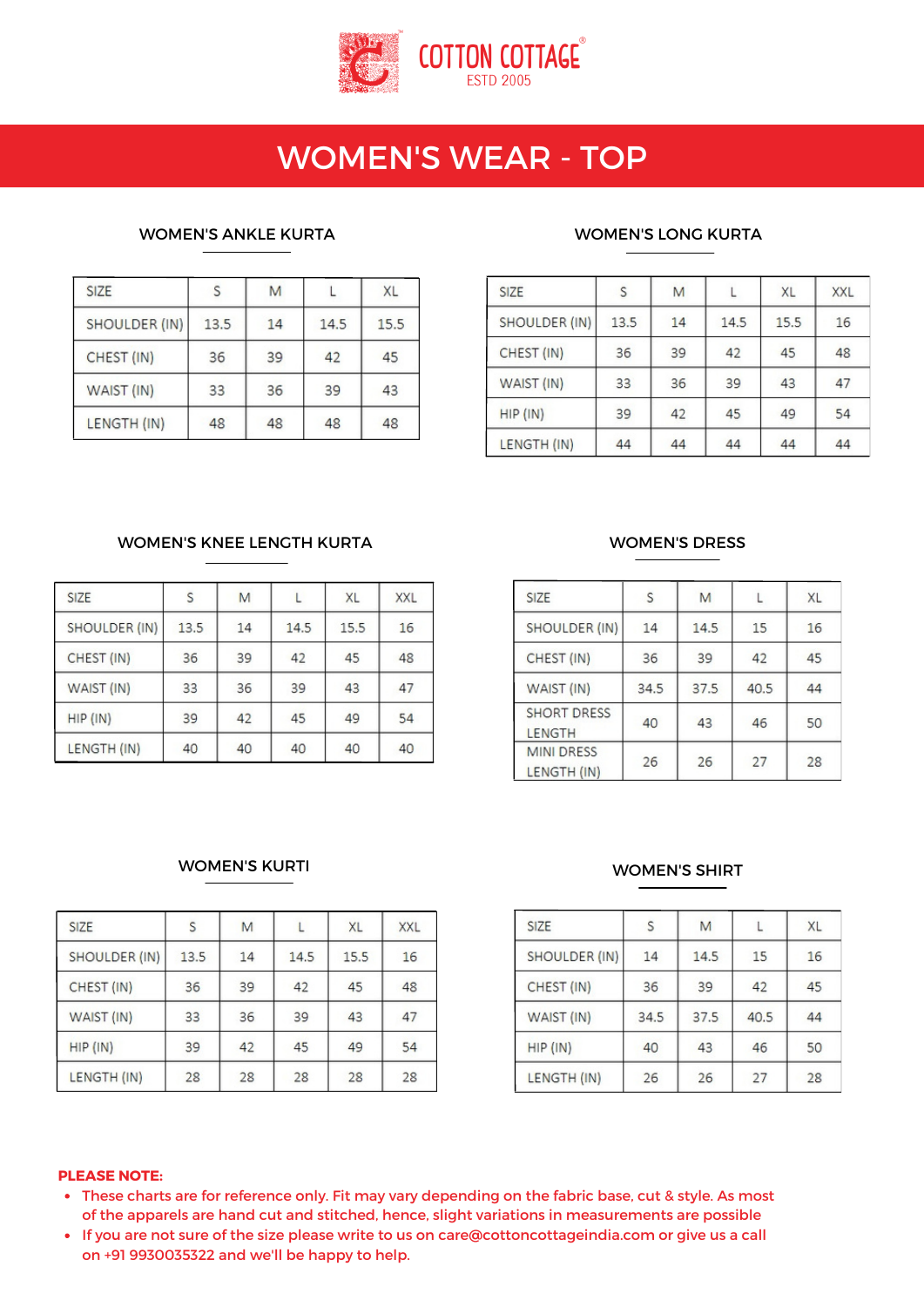

## WOMEN'S WEAR - TOP

#### WOMEN'S ANKLE KURTA WOMEN'S LONG KURTA

| <b>SIZE</b>   |      | M  |      | XL   |
|---------------|------|----|------|------|
| SHOULDER (IN) | 13.5 | 14 | 14.5 | 15.5 |
| CHEST (IN)    | 36   | 39 | 42   | 45   |
| WAIST (IN)    | 33   | 36 | 39   | 43   |
| LENGTH (IN)   | 48   | 48 | 48   | 48   |

| SIZE          | S    | M  |      | XL   | <b>XXL</b> |
|---------------|------|----|------|------|------------|
| SHOULDER (IN) | 13.5 | 14 | 14.5 | 15.5 | 16         |
| CHEST (IN)    | 36   | 39 | 42   | 45   | 48         |
| WAIST (IN)    | 33   | 36 | 39   | 43   | 47         |
| HIP (IN)      | 39   | 42 | 45   | 49   | 54         |
| LENGTH (IN)   | 44   | 44 | 44   | 44   | 44         |

## WOMEN'S KNEE LENGTH KURTA WOMEN'S DRESS

| <b>SIZE</b>   | S    | M  |      | XL   | <b>XXL</b> |
|---------------|------|----|------|------|------------|
| SHOULDER (IN) | 13.5 | 14 | 14.5 | 15.5 | 16         |
| CHEST (IN)    | 36   | 39 | 42   | 45   | 48         |
| WAIST (IN)    | 33   | 36 | 39   | 43   | 47         |
| HIP (IN)      | 39   | 42 | 45   | 49   | 54         |
| LENGTH (IN)   | 40   | 40 | 40   | 40   | 40         |

| <b>SIZE</b>                         | S    | M    |      | XL |
|-------------------------------------|------|------|------|----|
| SHOULDER (IN)                       | 14   | 14.5 | 15   | 16 |
| CHEST (IN)                          | 36   | 39   | 42   | 45 |
| WAIST (IN)                          | 34.5 | 37.5 | 40.5 | 44 |
| <b>SHORT DRESS</b><br><b>LENGTH</b> | 40   | 43   | 46   | 50 |
| <b>MINI DRESS</b><br>LENGTH (IN)    | 26   | 26   | 27   | 28 |

## WOMEN'S KURTI

| <b>SIZE</b>   | S    | M  |      | XL   | <b>XXL</b> |
|---------------|------|----|------|------|------------|
| SHOULDER (IN) | 13.5 | 14 | 14.5 | 15.5 | 16         |
| CHEST (IN)    | 36   | 39 | 42   | 45   | 48         |
| WAIST (IN)    | 33   | 36 | 39   | 43   | 47         |
| HIP (IN)      | 39   | 42 | 45   | 49   | 54         |
| LENGTH (IN)   | 28   | 28 | 28   | 28   | 28         |

#### WOMEN'S SHIRT

| SIZE          | S    | M    |      | XL |
|---------------|------|------|------|----|
| SHOULDER (IN) | 14   | 14.5 | 15   | 16 |
| CHEST (IN)    | 36   | 39   | 42   | 45 |
| WAIST (IN)    | 34.5 | 37.5 | 40.5 | 44 |
| $HIP$ (IN)    | 40   | 43   | 46   | 50 |
| LENGTH (IN)   | 26   | 26   | 27   | 28 |

#### **PLEASE NOTE:**

- These charts are for reference only. Fit may vary depending on the fabric base, cut & style. As most of the apparels are hand cut and stitched, hence, slight variations in measurements are possible
- If you are not sure of the size please write to us on care@cottoncottageindia.com or give us a call on +91 9930035322 and we'll be happy to help.